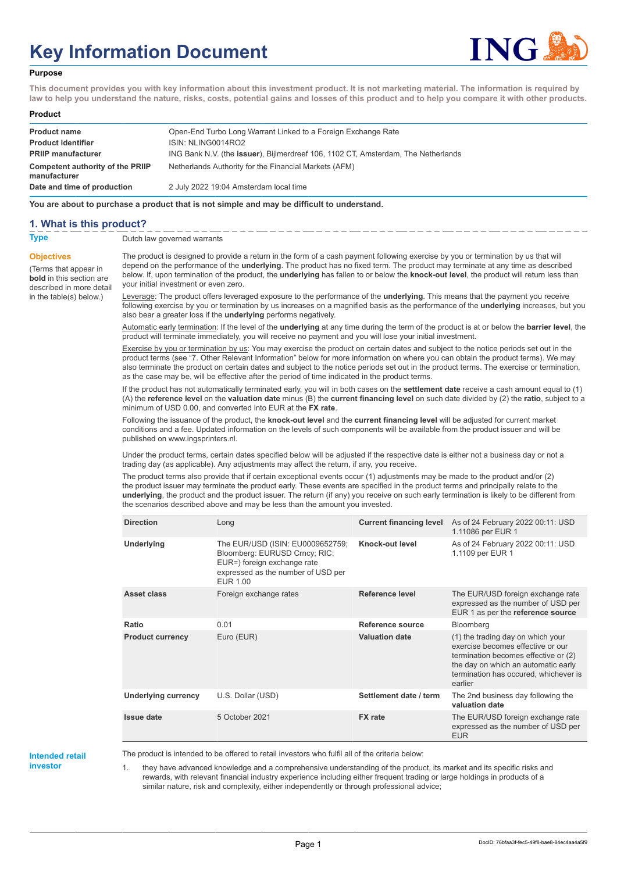# **Key Information Document**



#### **Purpose**

**This document provides you with key information about this investment product. It is not marketing material. The information is required by law to help you understand the nature, risks, costs, potential gains and losses of this product and to help you compare it with other products.**

#### **Product**

| <b>Product name</b><br><b>Product identifier</b><br><b>PRIIP manufacturer</b> | Open-End Turbo Long Warrant Linked to a Foreign Exchange Rate<br>ISIN: NLING0014RO2<br>ING Bank N.V. (the issuer), Bijlmerdreef 106, 1102 CT, Amsterdam, The Netherlands |
|-------------------------------------------------------------------------------|--------------------------------------------------------------------------------------------------------------------------------------------------------------------------|
| <b>Competent authority of the PRIIP</b><br>manufacturer                       | Netherlands Authority for the Financial Markets (AFM)                                                                                                                    |
| Date and time of production                                                   | 2 July 2022 19:04 Amsterdam local time                                                                                                                                   |

**You are about to purchase a product that is not simple and may be difficult to understand.**

#### **1. What is this product?**

**Objectives**

(Terms that appear in **bold** in this section are

in the table(s) below.)

**Type** Dutch law governed warrants

described in more detail The product is designed to provide a return in the form of a cash payment following exercise by you or termination by us that will depend on the performance of the **underlying**. The product has no fixed term. The product may terminate at any time as described below. If, upon termination of the product, the **underlying** has fallen to or below the **knock-out level**, the product will return less than your initial investment or even zero.

> Leverage: The product offers leveraged exposure to the performance of the **underlying**. This means that the payment you receive following exercise by you or termination by us increases on a magnified basis as the performance of the **underlying** increases, but you also bear a greater loss if the **underlying** performs negatively.

> Automatic early termination: If the level of the **underlying** at any time during the term of the product is at or below the **barrier level**, the product will terminate immediately, you will receive no payment and you will lose your initial investment.

> Exercise by you or termination by us: You may exercise the product on certain dates and subject to the notice periods set out in the product terms (see "7. Other Relevant Information" below for more information on where you can obtain the product terms). We may also terminate the product on certain dates and subject to the notice periods set out in the product terms. The exercise or termination, as the case may be, will be effective after the period of time indicated in the product terms.

> If the product has not automatically terminated early, you will in both cases on the **settlement date** receive a cash amount equal to (1) (A) the **reference level** on the **valuation date** minus (B) the **current financing level** on such date divided by (2) the **ratio**, subject to a minimum of USD 0.00, and converted into EUR at the **FX rate**.

Following the issuance of the product, the **knock-out level** and the **current financing level** will be adjusted for current market conditions and a fee. Updated information on the levels of such components will be available from the product issuer and will be published on www.ingsprinters.nl.

Under the product terms, certain dates specified below will be adjusted if the respective date is either not a business day or not a trading day (as applicable). Any adjustments may affect the return, if any, you receive.

The product terms also provide that if certain exceptional events occur (1) adjustments may be made to the product and/or (2) the product issuer may terminate the product early. These events are specified in the product terms and principally relate to the **underlying**, the product and the product issuer. The return (if any) you receive on such early termination is likely to be different from the scenarios described above and may be less than the amount you invested.

| <b>Direction</b>           | Long                                                                                                                                               | <b>Current financing level</b> | As of 24 February 2022 00:11: USD<br>1.11086 per EUR 1                                                                                                                                                    |
|----------------------------|----------------------------------------------------------------------------------------------------------------------------------------------------|--------------------------------|-----------------------------------------------------------------------------------------------------------------------------------------------------------------------------------------------------------|
| Underlying                 | The EUR/USD (ISIN: EU0009652759;<br>Bloomberg: EURUSD Crncy; RIC:<br>EUR=) foreign exchange rate<br>expressed as the number of USD per<br>EUR 1.00 | Knock-out level                | As of 24 February 2022 00:11: USD<br>1.1109 per EUR 1                                                                                                                                                     |
| Asset class                | Foreign exchange rates                                                                                                                             | Reference level                | The EUR/USD foreign exchange rate<br>expressed as the number of USD per<br>EUR 1 as per the reference source                                                                                              |
| Ratio                      | 0.01                                                                                                                                               | Reference source               | Bloomberg                                                                                                                                                                                                 |
| <b>Product currency</b>    | Euro (EUR)                                                                                                                                         | <b>Valuation date</b>          | (1) the trading day on which your<br>exercise becomes effective or our<br>termination becomes effective or (2)<br>the day on which an automatic early<br>termination has occured, whichever is<br>earlier |
| <b>Underlying currency</b> | U.S. Dollar (USD)                                                                                                                                  | Settlement date / term         | The 2nd business day following the<br>valuation date                                                                                                                                                      |
| Issue date                 | 5 October 2021                                                                                                                                     | <b>FX</b> rate                 | The EUR/USD foreign exchange rate<br>expressed as the number of USD per<br><b>EUR</b>                                                                                                                     |

## **Intended retail**

**investor**

The product is intended to be offered to retail investors who fulfil all of the criteria below:

1. they have advanced knowledge and a comprehensive understanding of the product, its market and its specific risks and rewards, with relevant financial industry experience including either frequent trading or large holdings in products of a similar nature, risk and complexity, either independently or through professional advice;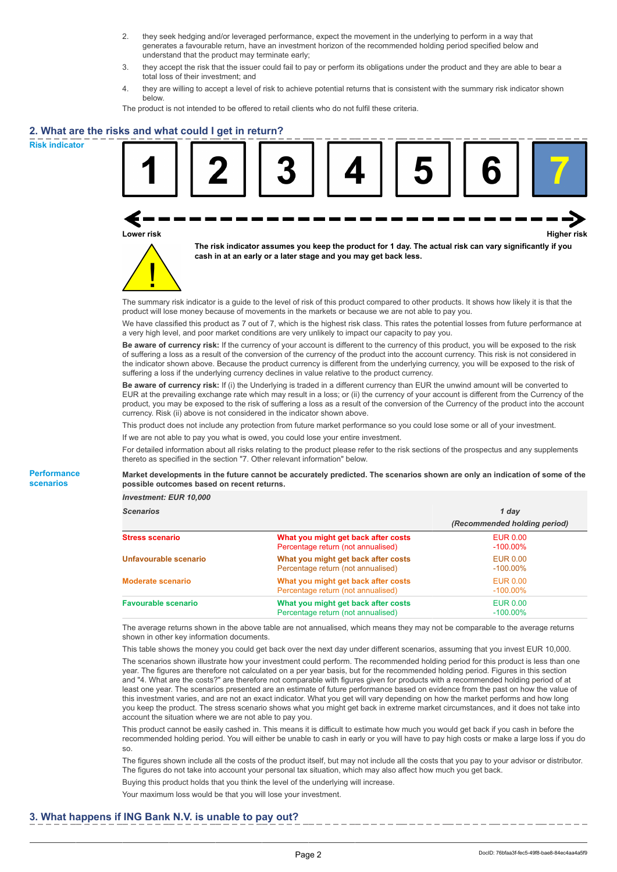- 2. they seek hedging and/or leveraged performance, expect the movement in the underlying to perform in a way that generates a favourable return, have an investment horizon of the recommended holding period specified below and understand that the product may terminate early;
- 3. they accept the risk that the issuer could fail to pay or perform its obligations under the product and they are able to bear a total loss of their investment; and
- 4. they are willing to accept a level of risk to achieve potential returns that is consistent with the summary risk indicator shown below.

The product is not intended to be offered to retail clients who do not fulfil these criteria.

## **2. What are the risks and what could I get in return?**

**Risk indicator**

**Performance scenarios**





**The risk indicator assumes you keep the product for 1 day. The actual risk can vary significantly if you cash in at an early or a later stage and you may get back less.**

The summary risk indicator is a guide to the level of risk of this product compared to other products. It shows how likely it is that the product will lose money because of movements in the markets or because we are not able to pay you.

We have classified this product as 7 out of 7, which is the highest risk class. This rates the potential losses from future performance at a very high level, and poor market conditions are very unlikely to impact our capacity to pay you.

**Be aware of currency risk:** If the currency of your account is different to the currency of this product, you will be exposed to the risk of suffering a loss as a result of the conversion of the currency of the product into the account currency. This risk is not considered in the indicator shown above. Because the product currency is different from the underlying currency, you will be exposed to the risk of suffering a loss if the underlying currency declines in value relative to the product currency.

**Be aware of currency risk:** If (i) the Underlying is traded in a different currency than EUR the unwind amount will be converted to EUR at the prevailing exchange rate which may result in a loss; or (ii) the currency of your account is different from the Currency of the product, you may be exposed to the risk of suffering a loss as a result of the conversion of the Currency of the product into the account currency. Risk (ii) above is not considered in the indicator shown above.

This product does not include any protection from future market performance so you could lose some or all of your investment.

If we are not able to pay you what is owed, you could lose your entire investment.

For detailed information about all risks relating to the product please refer to the risk sections of the prospectus and any supplements thereto as specified in the section "7. Other relevant information" below.

**Market developments in the future cannot be accurately predicted. The scenarios shown are only an indication of some of the possible outcomes based on recent returns.**

*Investment: EUR 10,000*

| <b>Scenarios</b>           |                                                                           | 1 day                          |  |
|----------------------------|---------------------------------------------------------------------------|--------------------------------|--|
|                            |                                                                           | (Recommended holding period)   |  |
| <b>Stress scenario</b>     | What you might get back after costs<br>Percentage return (not annualised) | <b>EUR 0.00</b><br>$-100.00\%$ |  |
| Unfavourable scenario      | What you might get back after costs<br>Percentage return (not annualised) | EUR 0.00<br>$-100.00\%$        |  |
| <b>Moderate scenario</b>   | What you might get back after costs<br>Percentage return (not annualised) | <b>EUR 0.00</b><br>$-100.00\%$ |  |
| <b>Favourable scenario</b> | What you might get back after costs<br>Percentage return (not annualised) | <b>EUR 0.00</b><br>$-100.00\%$ |  |

The average returns shown in the above table are not annualised, which means they may not be comparable to the average returns shown in other key information documents.

This table shows the money you could get back over the next day under different scenarios, assuming that you invest EUR 10,000. The scenarios shown illustrate how your investment could perform. The recommended holding period for this product is less than one year. The figures are therefore not calculated on a per year basis, but for the recommended holding period. Figures in this section and "4. What are the costs?" are therefore not comparable with figures given for products with a recommended holding period of at least one year. The scenarios presented are an estimate of future performance based on evidence from the past on how the value of this investment varies, and are not an exact indicator. What you get will vary depending on how the market performs and how long you keep the product. The stress scenario shows what you might get back in extreme market circumstances, and it does not take into account the situation where we are not able to pay you.

This product cannot be easily cashed in. This means it is difficult to estimate how much you would get back if you cash in before the recommended holding period. You will either be unable to cash in early or you will have to pay high costs or make a large loss if you do so.

The figures shown include all the costs of the product itself, but may not include all the costs that you pay to your advisor or distributor. The figures do not take into account your personal tax situation, which may also affect how much you get back.

Buying this product holds that you think the level of the underlying will increase.

Your maximum loss would be that you will lose your investment.

### **3. What happens if ING Bank N.V. is unable to pay out?**